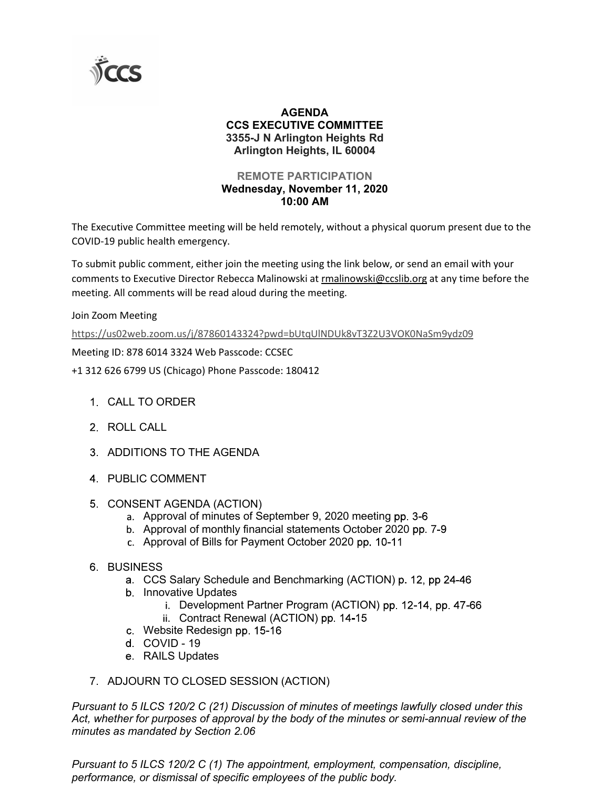

## AGENDA CCS EXECUTIVE COMMITTEE 3355-J N Arlington Heights Rd Arlington Heights, IL 60004

### REMOTE PARTICIPATION Wednesday, November 11, 2020 10:00 AM

The Executive Committee meeting will be held remotely, without a physical quorum present due to the COVID-19 public health emergency.

To submit public comment, either join the meeting using the link below, or send an email with your comments to Executive Director Rebecca Malinowski at rmalinowski@ccslib.org at any time before the **CCS<br>
CCS EXECUTIVE COMMITTEE**<br>
3555-J N Arlington Heights Rd<br>
Arlington Heights, IL 60004<br>
REMOTE PARTICIPATION<br>
Wednesday, November 11, 2020<br>
The Executive Committee meeting will be held remotely, without a physical quor

Join Zoom Meeting

https://us02web.zoom.us/j/87860143324?pwd=bUtqUlNDUk8vT3Z2U3VOK0NaSm9ydz09

Meeting ID: 878 6014 3324 Web Passcode: CCSEC

+1 312 626 6799 US (Chicago) Phone Passcode: 180412

- CALL TO ORDER
- 2 ROLL CALL
- 3. ADDITIONS TO THE AGENDA
- PUBLIC COMMENT
- 5. CONSENT AGENDA (ACTION)
	- a. Approval of minutes of September 9, 2020 meeting pp. 3-6
	- b. Approval of monthly financial statements October 2020 pp. 7-9
	- c. Approval of Bills for Payment October 2020 pp. 10-11
- **6. BUSINESS** 
	- a. CCS Salary Schedule and Benchmarking (ACTION) p. 12, pp 24-46
	- b. Innovative Updates
		- i. Development Partner Program (ACTION) pp. 12-14, pp. 47-66
		- ii. Contract Renewal (ACTION) pp. 14-15
	- c. Website Redesign pp. 15-16
	- d. COVID 19
	- e. RAILS Updates
- 7. ADJOURN TO CLOSED SESSION (ACTION)

Pursuant to 5 ILCS 120/2 C (21) Discussion of minutes of meetings lawfully closed under this Act, whether for purposes of approval by the body of the minutes or semi-annual review of the minutes as mandated by Section 2.06

Pursuant to 5 ILCS 120/2 C (1) The appointment, employment, compensation, discipline, performance, or dismissal of specific employees of the public body.